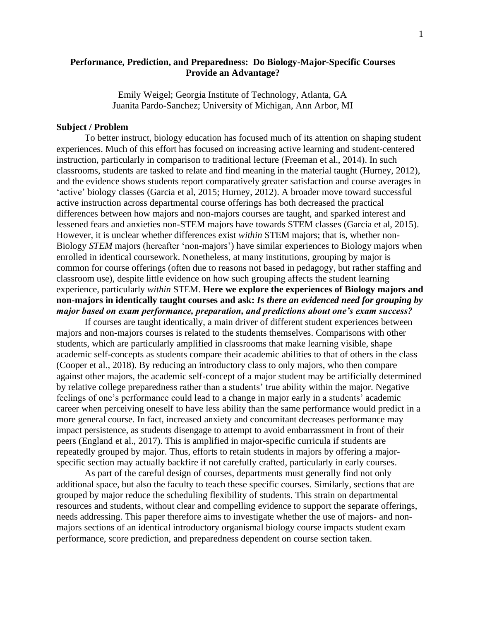# **Performance, Prediction, and Preparedness: Do Biology-Major-Specific Courses Provide an Advantage?**

Emily Weigel; Georgia Institute of Technology, Atlanta, GA Juanita Pardo-Sanchez; University of Michigan, Ann Arbor, MI

## **Subject / Problem**

To better instruct, biology education has focused much of its attention on shaping student experiences. Much of this effort has focused on increasing active learning and student-centered instruction, particularly in comparison to traditional lecture (Freeman et al., 2014). In such classrooms, students are tasked to relate and find meaning in the material taught (Hurney, 2012), and the evidence shows students report comparatively greater satisfaction and course averages in 'active' biology classes (Garcia et al, 2015; Hurney, 2012). A broader move toward successful active instruction across departmental course offerings has both decreased the practical differences between how majors and non-majors courses are taught, and sparked interest and lessened fears and anxieties non-STEM majors have towards STEM classes (Garcia et al, 2015). However, it is unclear whether differences exist *within* STEM majors; that is, whether non-Biology *STEM* majors (hereafter 'non-majors') have similar experiences to Biology majors when enrolled in identical coursework. Nonetheless, at many institutions, grouping by major is common for course offerings (often due to reasons not based in pedagogy, but rather staffing and classroom use), despite little evidence on how such grouping affects the student learning experience, particularly *within* STEM. **Here we explore the experiences of Biology majors and non-majors in identically taught courses and ask:** *Is there an evidenced need for grouping by major based on exam performance, preparation, and predictions about one's exam success?*

If courses are taught identically, a main driver of different student experiences between majors and non-majors courses is related to the students themselves. Comparisons with other students, which are particularly amplified in classrooms that make learning visible, shape academic self-concepts as students compare their academic abilities to that of others in the class (Cooper et al., 2018). By reducing an introductory class to only majors, who then compare against other majors, the academic self-concept of a major student may be artificially determined by relative college preparedness rather than a students' true ability within the major. Negative feelings of one's performance could lead to a change in major early in a students' academic career when perceiving oneself to have less ability than the same performance would predict in a more general course. In fact, increased anxiety and concomitant decreases performance may impact persistence, as students disengage to attempt to avoid embarrassment in front of their peers (England et al., 2017). This is amplified in major-specific curricula if students are repeatedly grouped by major. Thus, efforts to retain students in majors by offering a majorspecific section may actually backfire if not carefully crafted, particularly in early courses.

As part of the careful design of courses, departments must generally find not only additional space, but also the faculty to teach these specific courses. Similarly, sections that are grouped by major reduce the scheduling flexibility of students. This strain on departmental resources and students, without clear and compelling evidence to support the separate offerings, needs addressing. This paper therefore aims to investigate whether the use of majors- and nonmajors sections of an identical introductory organismal biology course impacts student exam performance, score prediction, and preparedness dependent on course section taken.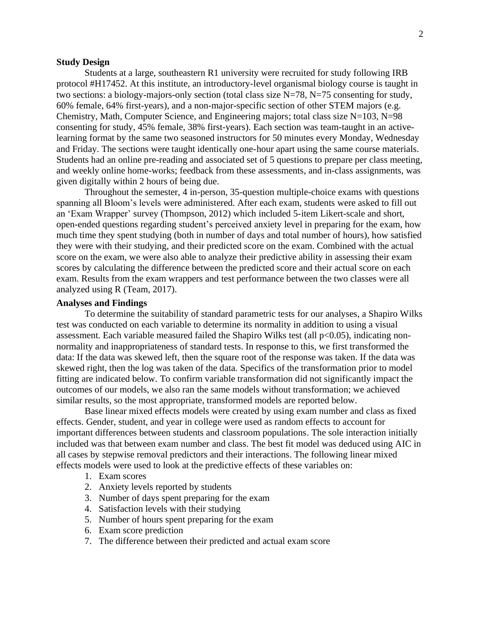## **Study Design**

Students at a large, southeastern R1 university were recruited for study following IRB protocol #H17452. At this institute, an introductory-level organismal biology course is taught in two sections: a biology-majors-only section (total class size  $N=78$ ,  $N=75$  consenting for study, 60% female, 64% first-years), and a non-major-specific section of other STEM majors (e.g. Chemistry, Math, Computer Science, and Engineering majors; total class size N=103, N=98 consenting for study, 45% female, 38% first-years). Each section was team-taught in an activelearning format by the same two seasoned instructors for 50 minutes every Monday, Wednesday and Friday. The sections were taught identically one-hour apart using the same course materials. Students had an online pre-reading and associated set of 5 questions to prepare per class meeting, and weekly online home-works; feedback from these assessments, and in-class assignments, was given digitally within 2 hours of being due.

Throughout the semester, 4 in-person, 35-question multiple-choice exams with questions spanning all Bloom's levels were administered. After each exam, students were asked to fill out an 'Exam Wrapper' survey (Thompson, 2012) which included 5-item Likert-scale and short, open-ended questions regarding student's perceived anxiety level in preparing for the exam, how much time they spent studying (both in number of days and total number of hours), how satisfied they were with their studying, and their predicted score on the exam. Combined with the actual score on the exam, we were also able to analyze their predictive ability in assessing their exam scores by calculating the difference between the predicted score and their actual score on each exam. Results from the exam wrappers and test performance between the two classes were all analyzed using R (Team, 2017).

### **Analyses and Findings**

To determine the suitability of standard parametric tests for our analyses, a Shapiro Wilks test was conducted on each variable to determine its normality in addition to using a visual assessment. Each variable measured failed the Shapiro Wilks test (all p<0.05), indicating nonnormality and inappropriateness of standard tests. In response to this, we first transformed the data: If the data was skewed left, then the square root of the response was taken. If the data was skewed right, then the log was taken of the data. Specifics of the transformation prior to model fitting are indicated below. To confirm variable transformation did not significantly impact the outcomes of our models, we also ran the same models without transformation; we achieved similar results, so the most appropriate, transformed models are reported below.

Base linear mixed effects models were created by using exam number and class as fixed effects. Gender, student, and year in college were used as random effects to account for important differences between students and classroom populations. The sole interaction initially included was that between exam number and class. The best fit model was deduced using AIC in all cases by stepwise removal predictors and their interactions. The following linear mixed effects models were used to look at the predictive effects of these variables on:

- 1. Exam scores
- 2. Anxiety levels reported by students
- 3. Number of days spent preparing for the exam
- 4. Satisfaction levels with their studying
- 5. Number of hours spent preparing for the exam
- 6. Exam score prediction
- 7. The difference between their predicted and actual exam score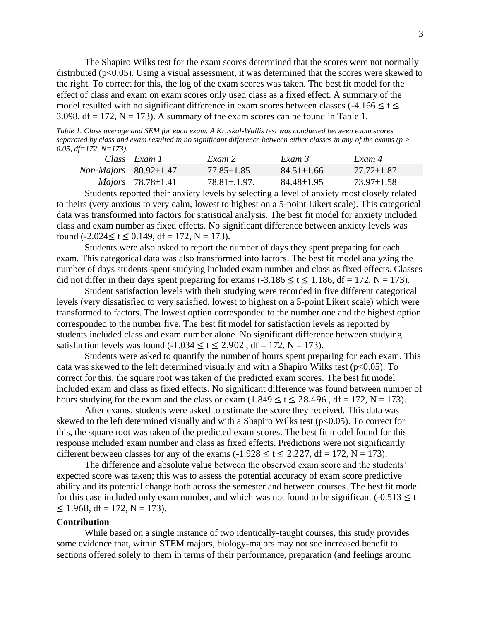The Shapiro Wilks test for the exam scores determined that the scores were not normally distributed ( $p<0.05$ ). Using a visual assessment, it was determined that the scores were skewed to the right. To correct for this, the log of the exam scores was taken. The best fit model for the effect of class and exam on exam scores only used class as a fixed effect. A summary of the model resulted with no significant difference in exam scores between classes (-4.166  $\leq t \leq$ 3.098, df = 172, N = 173). A summary of the exam scores can be found in Table 1.

*Table 1. Class average and SEM for each exam. A Kruskal-Wallis test was conducted between exam scores separated by class and exam resulted in no significant difference between either classes in any of the exams (p > 0.05, df=172, N=173).*

|                                      | Class Exam I                     | Exam 2             | Exam 3           | Exam 4     |
|--------------------------------------|----------------------------------|--------------------|------------------|------------|
| <i>Non-Majors</i>   $80.92 \pm 1.47$ |                                  | 77.85±1.85         | $84.51 \pm 1.66$ | 77.72+1.87 |
|                                      | <i>Majors</i>   $78.78 \pm 1.41$ | $78.81 \pm 1.97$ . | 84.48±1.95       | 73.97+1.58 |

Students reported their anxiety levels by selecting a level of anxiety most closely related to theirs (very anxious to very calm, lowest to highest on a 5-point Likert scale). This categorical data was transformed into factors for statistical analysis. The best fit model for anxiety included class and exam number as fixed effects. No significant difference between anxiety levels was found  $(-2.024 \le t \le 0.149$ , df = 172, N = 173).

Students were also asked to report the number of days they spent preparing for each exam. This categorical data was also transformed into factors. The best fit model analyzing the number of days students spent studying included exam number and class as fixed effects. Classes did not differ in their days spent preparing for exams  $(-3.186 \le t \le 1.186$ , df = 172, N = 173).

Student satisfaction levels with their studying were recorded in five different categorical levels (very dissatisfied to very satisfied, lowest to highest on a 5-point Likert scale) which were transformed to factors. The lowest option corresponded to the number one and the highest option corresponded to the number five. The best fit model for satisfaction levels as reported by students included class and exam number alone. No significant difference between studying satisfaction levels was found  $(-1.034 \le t \le 2.902$ , df = 172, N = 173).

Students were asked to quantify the number of hours spent preparing for each exam. This data was skewed to the left determined visually and with a Shapiro Wilks test ( $p<0.05$ ). To correct for this, the square root was taken of the predicted exam scores. The best fit model included exam and class as fixed effects. No significant difference was found between number of hours studying for the exam and the class or exam  $(1.849 \le t \le 28.496$ , df = 172, N = 173).

After exams, students were asked to estimate the score they received. This data was skewed to the left determined visually and with a Shapiro Wilks test ( $p<0.05$ ). To correct for this, the square root was taken of the predicted exam scores. The best fit model found for this response included exam number and class as fixed effects. Predictions were not significantly different between classes for any of the exams  $(-1.928 \le t \le 2.227$ , df = 172, N = 173).

The difference and absolute value between the observed exam score and the students' expected score was taken; this was to assess the potential accuracy of exam score predictive ability and its potential change both across the semester and between courses. The best fit model for this case included only exam number, and which was not found to be significant  $(-0.513 \le t$  $\leq$  1.968, df = 172, N = 173).

## **Contribution**

While based on a single instance of two identically-taught courses, this study provides some evidence that, within STEM majors, biology-majors may not see increased benefit to sections offered solely to them in terms of their performance, preparation (and feelings around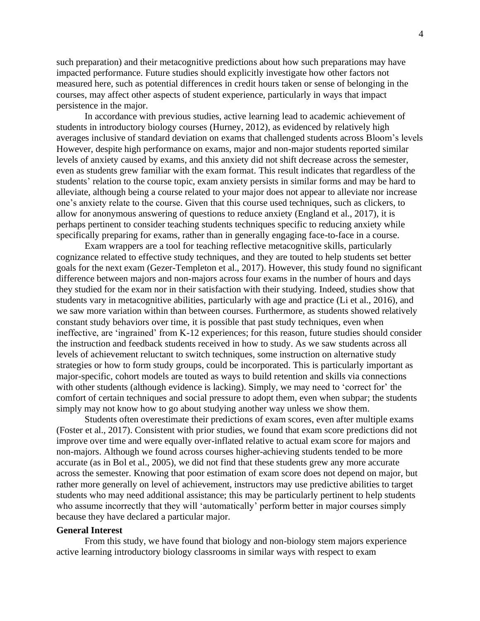such preparation) and their metacognitive predictions about how such preparations may have impacted performance. Future studies should explicitly investigate how other factors not measured here, such as potential differences in credit hours taken or sense of belonging in the courses, may affect other aspects of student experience, particularly in ways that impact persistence in the major.

In accordance with previous studies, active learning lead to academic achievement of students in introductory biology courses (Hurney, 2012), as evidenced by relatively high averages inclusive of standard deviation on exams that challenged students across Bloom's levels However, despite high performance on exams, major and non-major students reported similar levels of anxiety caused by exams, and this anxiety did not shift decrease across the semester, even as students grew familiar with the exam format. This result indicates that regardless of the students' relation to the course topic, exam anxiety persists in similar forms and may be hard to alleviate, although being a course related to your major does not appear to alleviate nor increase one's anxiety relate to the course. Given that this course used techniques, such as clickers, to allow for anonymous answering of questions to reduce anxiety (England et al., 2017), it is perhaps pertinent to consider teaching students techniques specific to reducing anxiety while specifically preparing for exams, rather than in generally engaging face-to-face in a course.

Exam wrappers are a tool for teaching reflective metacognitive skills, particularly cognizance related to effective study techniques, and they are touted to help students set better goals for the next exam (Gezer-Templeton et al., 2017). However, this study found no significant difference between majors and non-majors across four exams in the number of hours and days they studied for the exam nor in their satisfaction with their studying. Indeed, studies show that students vary in metacognitive abilities, particularly with age and practice (Li et al., 2016), and we saw more variation within than between courses. Furthermore, as students showed relatively constant study behaviors over time, it is possible that past study techniques, even when ineffective, are 'ingrained' from K-12 experiences; for this reason, future studies should consider the instruction and feedback students received in how to study. As we saw students across all levels of achievement reluctant to switch techniques, some instruction on alternative study strategies or how to form study groups, could be incorporated. This is particularly important as major-specific, cohort models are touted as ways to build retention and skills via connections with other students (although evidence is lacking). Simply, we may need to 'correct for' the comfort of certain techniques and social pressure to adopt them, even when subpar; the students simply may not know how to go about studying another way unless we show them.

Students often overestimate their predictions of exam scores, even after multiple exams (Foster et al., 2017). Consistent with prior studies, we found that exam score predictions did not improve over time and were equally over-inflated relative to actual exam score for majors and non-majors. Although we found across courses higher-achieving students tended to be more accurate (as in Bol et al., 2005), we did not find that these students grew any more accurate across the semester. Knowing that poor estimation of exam score does not depend on major, but rather more generally on level of achievement, instructors may use predictive abilities to target students who may need additional assistance; this may be particularly pertinent to help students who assume incorrectly that they will 'automatically' perform better in major courses simply because they have declared a particular major.

## **General Interest**

From this study, we have found that biology and non-biology stem majors experience active learning introductory biology classrooms in similar ways with respect to exam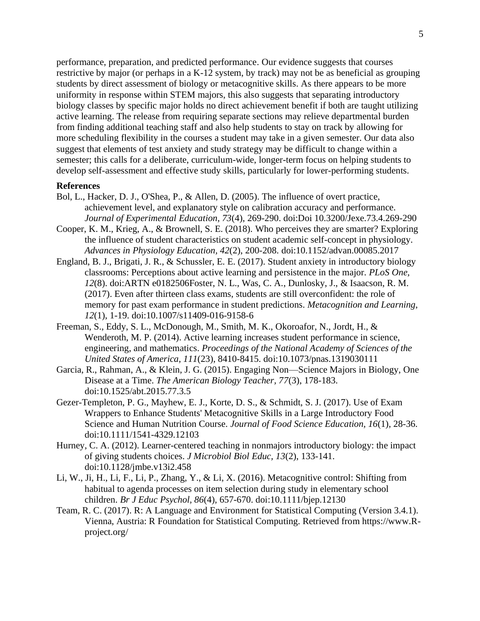performance, preparation, and predicted performance. Our evidence suggests that courses restrictive by major (or perhaps in a K-12 system, by track) may not be as beneficial as grouping students by direct assessment of biology or metacognitive skills. As there appears to be more uniformity in response within STEM majors, this also suggests that separating introductory biology classes by specific major holds no direct achievement benefit if both are taught utilizing active learning. The release from requiring separate sections may relieve departmental burden from finding additional teaching staff and also help students to stay on track by allowing for more scheduling flexibility in the courses a student may take in a given semester. Our data also suggest that elements of test anxiety and study strategy may be difficult to change within a semester; this calls for a deliberate, curriculum-wide, longer-term focus on helping students to develop self-assessment and effective study skills, particularly for lower-performing students.

## **References**

- Bol, L., Hacker, D. J., O'Shea, P., & Allen, D. (2005). The influence of overt practice, achievement level, and explanatory style on calibration accuracy and performance. *Journal of Experimental Education, 73*(4), 269-290. doi:Doi 10.3200/Jexe.73.4.269-290
- Cooper, K. M., Krieg, A., & Brownell, S. E. (2018). Who perceives they are smarter? Exploring the influence of student characteristics on student academic self-concept in physiology. *Advances in Physiology Education, 42*(2), 200-208. doi:10.1152/advan.00085.2017
- England, B. J., Brigati, J. R., & Schussler, E. E. (2017). Student anxiety in introductory biology classrooms: Perceptions about active learning and persistence in the major. *PLoS One, 12*(8). doi:ARTN e0182506Foster, N. L., Was, C. A., Dunlosky, J., & Isaacson, R. M. (2017). Even after thirteen class exams, students are still overconfident: the role of memory for past exam performance in student predictions. *Metacognition and Learning, 12*(1), 1-19. doi:10.1007/s11409-016-9158-6
- Freeman, S., Eddy, S. L., McDonough, M., Smith, M. K., Okoroafor, N., Jordt, H., & Wenderoth, M. P. (2014). Active learning increases student performance in science, engineering, and mathematics. *Proceedings of the National Academy of Sciences of the United States of America, 111*(23), 8410-8415. doi:10.1073/pnas.1319030111
- Garcia, R., Rahman, A., & Klein, J. G. (2015). Engaging Non—Science Majors in Biology, One Disease at a Time. *The American Biology Teacher, 77*(3), 178-183. doi:10.1525/abt.2015.77.3.5
- Gezer-Templeton, P. G., Mayhew, E. J., Korte, D. S., & Schmidt, S. J. (2017). Use of Exam Wrappers to Enhance Students' Metacognitive Skills in a Large Introductory Food Science and Human Nutrition Course. *Journal of Food Science Education, 16*(1), 28-36. doi:10.1111/1541-4329.12103
- Hurney, C. A. (2012). Learner-centered teaching in nonmajors introductory biology: the impact of giving students choices. *J Microbiol Biol Educ, 13*(2), 133-141. doi:10.1128/jmbe.v13i2.458
- Li, W., Ji, H., Li, F., Li, P., Zhang, Y., & Li, X. (2016). Metacognitive control: Shifting from habitual to agenda processes on item selection during study in elementary school children. *Br J Educ Psychol, 86*(4), 657-670. doi:10.1111/bjep.12130
- Team, R. C. (2017). R: A Language and Environment for Statistical Computing (Version 3.4.1). Vienna, Austria: R Foundation for Statistical Computing. Retrieved from https://www.Rproject.org/